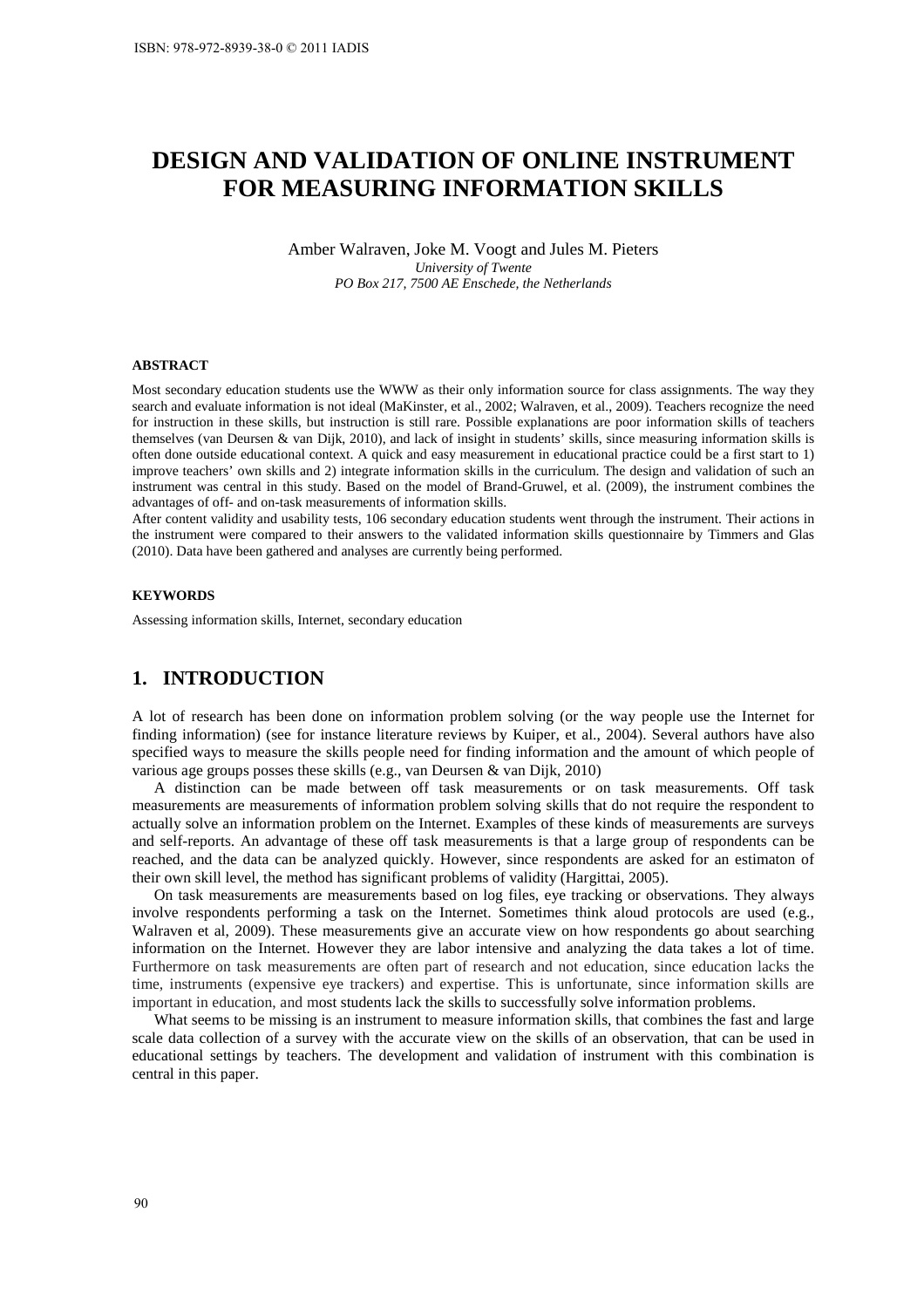# **DESIGN AND VALIDATION OF ONLINE INSTRUMENT FOR MEASURING INFORMATION SKILLS**

Amber Walraven, Joke M. Voogt and Jules M. Pieters *University of Twente PO Box 217, 7500 AE Enschede, the Netherlands* 

#### **ABSTRACT**

Most secondary education students use the WWW as their only information source for class assignments. The way they search and evaluate information is not ideal (MaKinster, et al., 2002; Walraven, et al., 2009). Teachers recognize the need for instruction in these skills, but instruction is still rare. Possible explanations are poor information skills of teachers themselves (van Deursen & van Dijk, 2010), and lack of insight in students' skills, since measuring information skills is often done outside educational context. A quick and easy measurement in educational practice could be a first start to 1) improve teachers' own skills and 2) integrate information skills in the curriculum. The design and validation of such an instrument was central in this study. Based on the model of Brand-Gruwel, et al. (2009), the instrument combines the advantages of off- and on-task measurements of information skills.

After content validity and usability tests, 106 secondary education students went through the instrument. Their actions in the instrument were compared to their answers to the validated information skills questionnaire by Timmers and Glas (2010). Data have been gathered and analyses are currently being performed.

#### **KEYWORDS**

Assessing information skills, Internet, secondary education

# **1. INTRODUCTION**

A lot of research has been done on information problem solving (or the way people use the Internet for finding information) (see for instance literature reviews by Kuiper, et al., 2004). Several authors have also specified ways to measure the skills people need for finding information and the amount of which people of various age groups posses these skills (e.g., van Deursen & van Dijk, 2010)

A distinction can be made between off task measurements or on task measurements. Off task measurements are measurements of information problem solving skills that do not require the respondent to actually solve an information problem on the Internet. Examples of these kinds of measurements are surveys and self-reports. An advantage of these off task measurements is that a large group of respondents can be reached, and the data can be analyzed quickly. However, since respondents are asked for an estimaton of their own skill level, the method has significant problems of validity (Hargittai, 2005).

On task measurements are measurements based on log files, eye tracking or observations. They always involve respondents performing a task on the Internet. Sometimes think aloud protocols are used (e.g., Walraven et al, 2009). These measurements give an accurate view on how respondents go about searching information on the Internet. However they are labor intensive and analyzing the data takes a lot of time. Furthermore on task measurements are often part of research and not education, since education lacks the time, instruments (expensive eye trackers) and expertise. This is unfortunate, since information skills are important in education, and most students lack the skills to successfully solve information problems.

What seems to be missing is an instrument to measure information skills, that combines the fast and large scale data collection of a survey with the accurate view on the skills of an observation, that can be used in educational settings by teachers. The development and validation of instrument with this combination is central in this paper.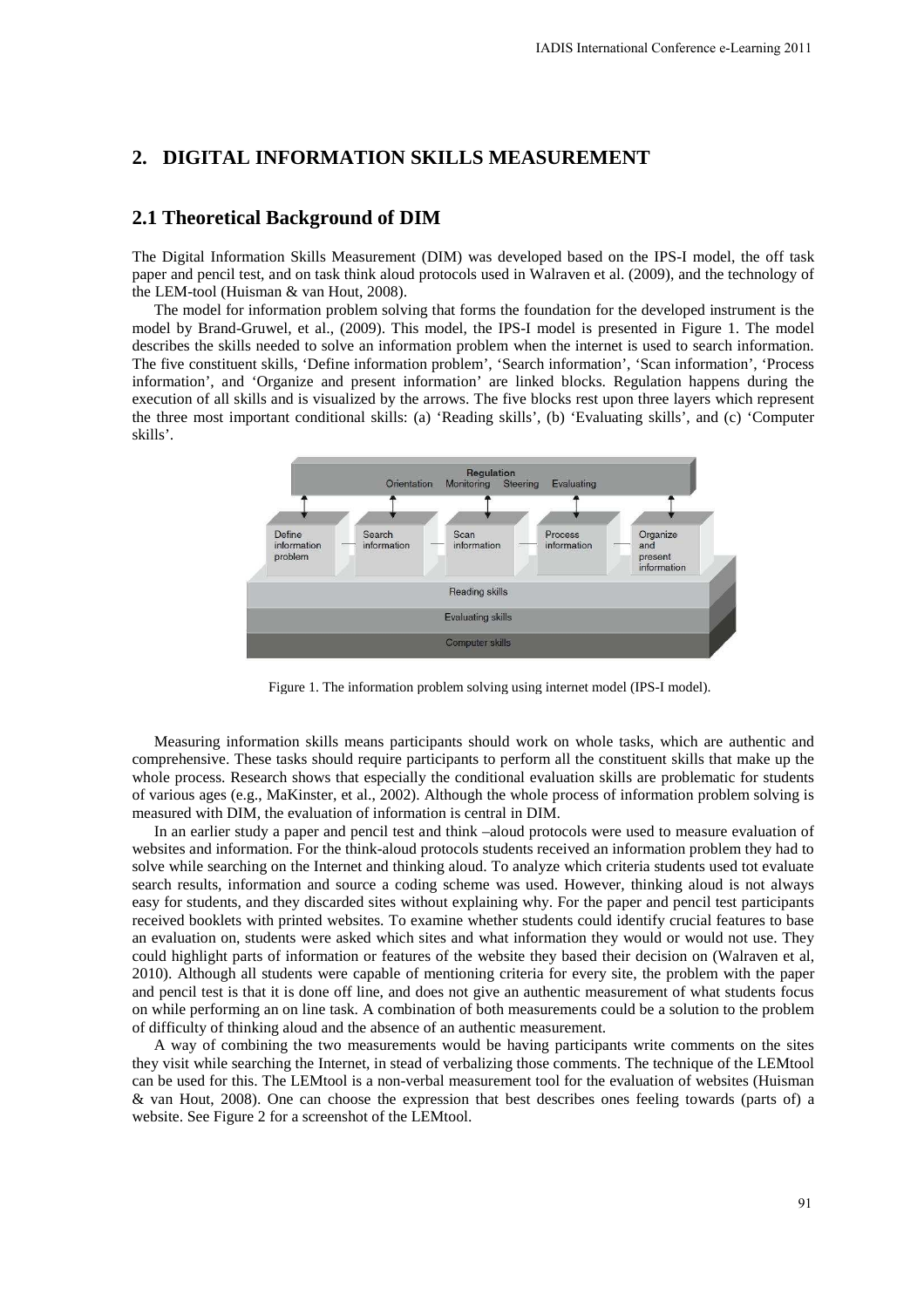# **2. DIGITAL INFORMATION SKILLS MEASUREMENT**

### **2.1 Theoretical Background of DIM**

The Digital Information Skills Measurement (DIM) was developed based on the IPS-I model, the off task paper and pencil test, and on task think aloud protocols used in Walraven et al. (2009), and the technology of the LEM-tool (Huisman & van Hout, 2008).

The model for information problem solving that forms the foundation for the developed instrument is the model by Brand-Gruwel, et al., (2009). This model, the IPS-I model is presented in Figure 1. The model describes the skills needed to solve an information problem when the internet is used to search information. The five constituent skills, 'Define information problem', 'Search information', 'Scan information', 'Process information', and 'Organize and present information' are linked blocks. Regulation happens during the execution of all skills and is visualized by the arrows. The five blocks rest upon three layers which represent the three most important conditional skills: (a) 'Reading skills', (b) 'Evaluating skills', and (c) 'Computer skills'.



Figure 1. The information problem solving using internet model (IPS-I model).

Measuring information skills means participants should work on whole tasks, which are authentic and comprehensive. These tasks should require participants to perform all the constituent skills that make up the whole process. Research shows that especially the conditional evaluation skills are problematic for students of various ages (e.g., MaKinster, et al., 2002). Although the whole process of information problem solving is measured with DIM, the evaluation of information is central in DIM.

In an earlier study a paper and pencil test and think –aloud protocols were used to measure evaluation of websites and information. For the think-aloud protocols students received an information problem they had to solve while searching on the Internet and thinking aloud. To analyze which criteria students used tot evaluate search results, information and source a coding scheme was used. However, thinking aloud is not always easy for students, and they discarded sites without explaining why. For the paper and pencil test participants received booklets with printed websites. To examine whether students could identify crucial features to base an evaluation on, students were asked which sites and what information they would or would not use. They could highlight parts of information or features of the website they based their decision on (Walraven et al, 2010). Although all students were capable of mentioning criteria for every site, the problem with the paper and pencil test is that it is done off line, and does not give an authentic measurement of what students focus on while performing an on line task. A combination of both measurements could be a solution to the problem of difficulty of thinking aloud and the absence of an authentic measurement. IADIS International Conference e-Learning 2011<br>
SUREMENT<br>
SUREMENT<br>
SUREMENT<br>
SUREMENT<br>
model is presented in Figure 1. The model<br>
what<br>
and the internation of the developed instrument is the<br>
model is presented in Figure

A way of combining the two measurements would be having participants write comments on the sites they visit while searching the Internet, in stead of verbalizing those comments. The technique of the LEMtool can be used for this. The LEMtool is a non-verbal measurement tool for the evaluation of websites (Huisman & van Hout, 2008). One can choose the expression that best describes ones feeling towards (parts of) a website. See Figure 2 for a screenshot of the LEMtool.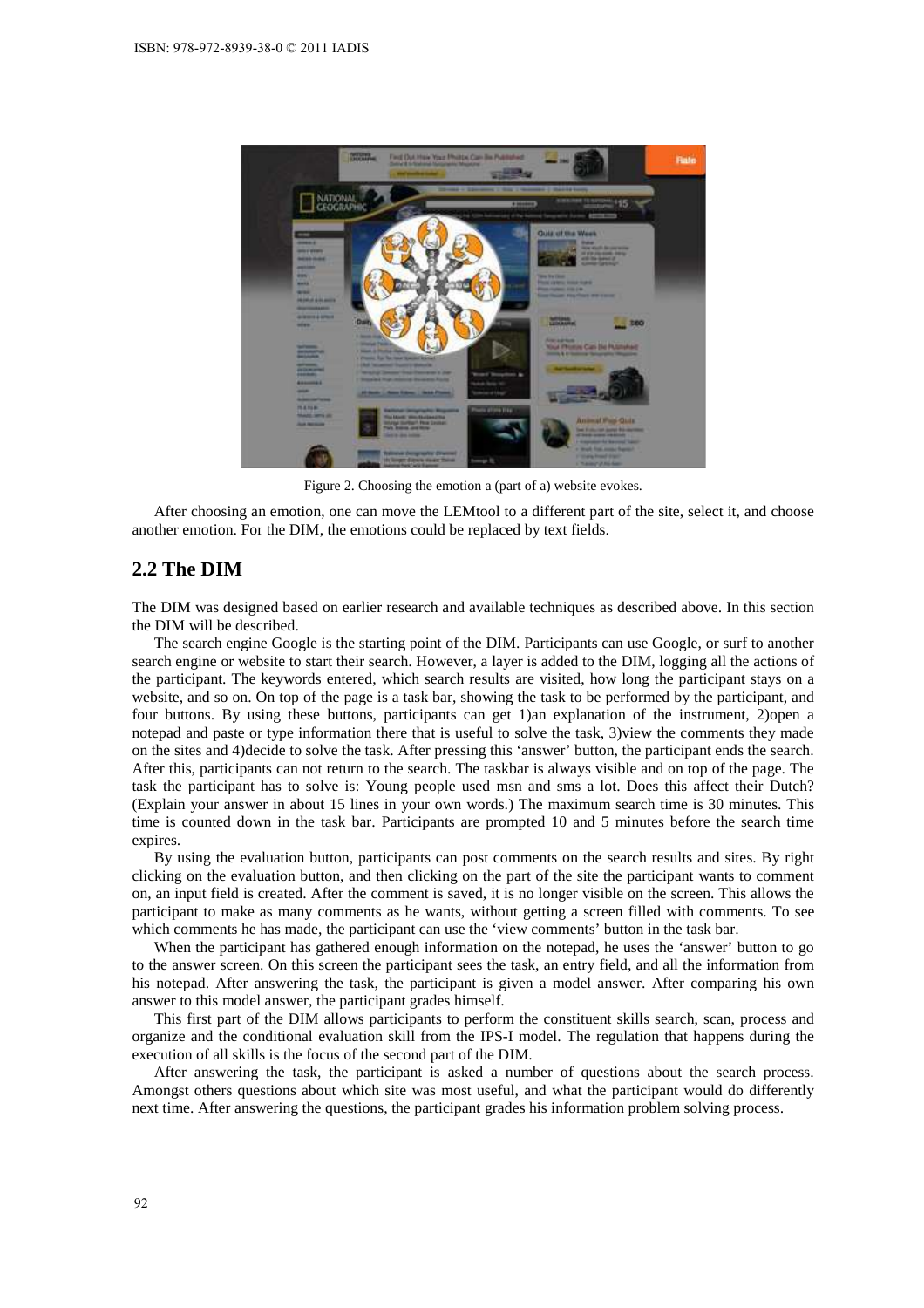

Figure 2. Choosing the emotion a (part of a) website evokes.

After choosing an emotion, one can move the LEMtool to a different part of the site, select it, and choose another emotion. For the DIM, the emotions could be replaced by text fields.

# **2.2 The DIM**

The DIM was designed based on earlier research and available techniques as described above. In this section the DIM will be described.

The search engine Google is the starting point of the DIM. Participants can use Google, or surf to another search engine or website to start their search. However, a layer is added to the DIM, logging all the actions of the participant. The keywords entered, which search results are visited, how long the participant stays on a website, and so on. On top of the page is a task bar, showing the task to be performed by the participant, and four buttons. By using these buttons, participants can get 1)an explanation of the instrument, 2)open a notepad and paste or type information there that is useful to solve the task, 3)view the comments they made on the sites and 4)decide to solve the task. After pressing this 'answer' button, the participant ends the search. After this, participants can not return to the search. The taskbar is always visible and on top of the page. The task the participant has to solve is: Young people used msn and sms a lot. Does this affect their Dutch? (Explain your answer in about 15 lines in your own words.) The maximum search time is 30 minutes. This time is counted down in the task bar. Participants are prompted 10 and 5 minutes before the search time expires.

By using the evaluation button, participants can post comments on the search results and sites. By right clicking on the evaluation button, and then clicking on the part of the site the participant wants to comment on, an input field is created. After the comment is saved, it is no longer visible on the screen. This allows the participant to make as many comments as he wants, without getting a screen filled with comments. To see which comments he has made, the participant can use the 'view comments' button in the task bar.

When the participant has gathered enough information on the notepad, he uses the 'answer' button to go to the answer screen. On this screen the participant sees the task, an entry field, and all the information from his notepad. After answering the task, the participant is given a model answer. After comparing his own answer to this model answer, the participant grades himself.

This first part of the DIM allows participants to perform the constituent skills search, scan, process and organize and the conditional evaluation skill from the IPS-I model. The regulation that happens during the execution of all skills is the focus of the second part of the DIM.

After answering the task, the participant is asked a number of questions about the search process. Amongst others questions about which site was most useful, and what the participant would do differently next time. After answering the questions, the participant grades his information problem solving process.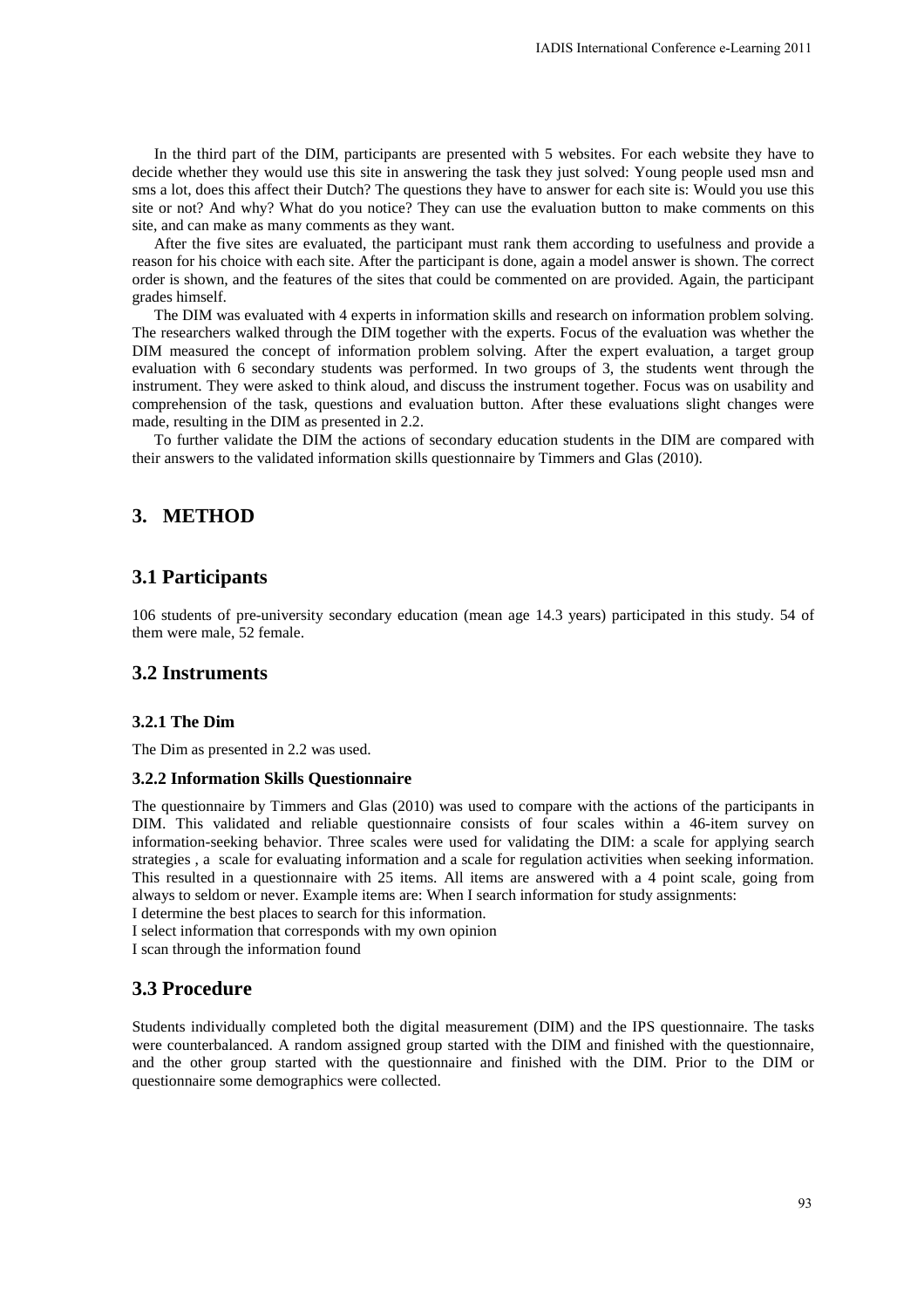In the third part of the DIM, participants are presented with 5 websites. For each website they have to decide whether they would use this site in answering the task they just solved: Young people used msn and sms a lot, does this affect their Dutch? The questions they have to answer for each site is: Would you use this site or not? And why? What do you notice? They can use the evaluation button to make comments on this site, and can make as many comments as they want.

After the five sites are evaluated, the participant must rank them according to usefulness and provide a reason for his choice with each site. After the participant is done, again a model answer is shown. The correct order is shown, and the features of the sites that could be commented on are provided. Again, the participant grades himself.

The DIM was evaluated with 4 experts in information skills and research on information problem solving. The researchers walked through the DIM together with the experts. Focus of the evaluation was whether the DIM measured the concept of information problem solving. After the expert evaluation, a target group evaluation with 6 secondary students was performed. In two groups of 3, the students went through the instrument. They were asked to think aloud, and discuss the instrument together. Focus was on usability and comprehension of the task, questions and evaluation button. After these evaluations slight changes were made, resulting in the DIM as presented in 2.2. LADIS International Conference e-Learning 2011<br>
15 websites. For each website they have to<br>
15 websites. For each website they have to<br>
16 a maxer for each site is: Would you use this<br>
usualization button to make comments

To further validate the DIM the actions of secondary education students in the DIM are compared with their answers to the validated information skills questionnaire by Timmers and Glas (2010).

# **3. METHOD**

# **3.1 Participants**

106 students of pre-university secondary education (mean age 14.3 years) participated in this study. 54 of them were male, 52 female.

### **3.2 Instruments**

#### **3.2.1 The Dim**

The Dim as presented in 2.2 was used.

#### **3.2.2 Information Skills Questionnaire**

The questionnaire by Timmers and Glas (2010) was used to compare with the actions of the participants in DIM. This validated and reliable questionnaire consists of four scales within a 46-item survey on information-seeking behavior. Three scales were used for validating the DIM: a scale for applying search strategies , a scale for evaluating information and a scale for regulation activities when seeking information. This resulted in a questionnaire with 25 items. All items are answered with a 4 point scale, going from always to seldom or never. Example items are: When I search information for study assignments: I determine the best places to search for this information.

I select information that corresponds with my own opinion

I scan through the information found

# **3.3 Procedure**

Students individually completed both the digital measurement (DIM) and the IPS questionnaire. The tasks were counterbalanced. A random assigned group started with the DIM and finished with the questionnaire, and the other group started with the questionnaire and finished with the DIM. Prior to the DIM or questionnaire some demographics were collected.